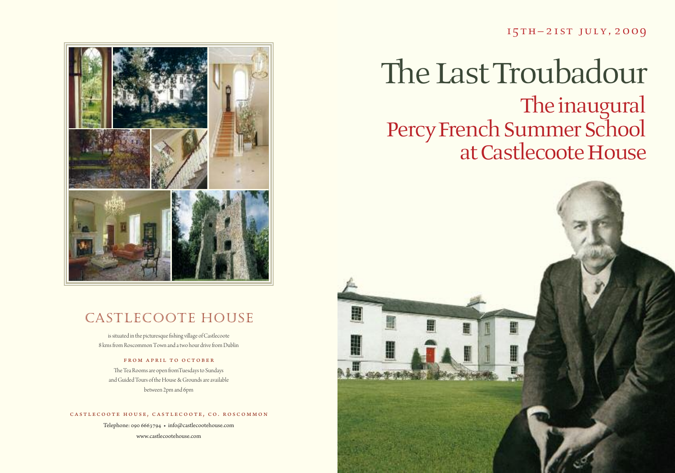### 15th– 21st july, <sup>2009</sup>

# The Last Troubadour The inaugural Percy French Summer School at Castlecoote House





### Castlecoote House

is situated in the picturesque fishing village of Castlecoote 8 kms from Roscommon Town and a two hour drive from Dublin

### FROM APRIL TO OCTOBER

The Tea Rooms are open from Tuesdays to Sundays and Guided Tours of the House & Grounds are available between 2pm and 6pm

#### CASTLECOOTE HOUSE, CASTLECOOTE, CO. ROSCOMMON

Telephone: 090 6663794 • info@castlecootehouse.com www.castlecootehouse.com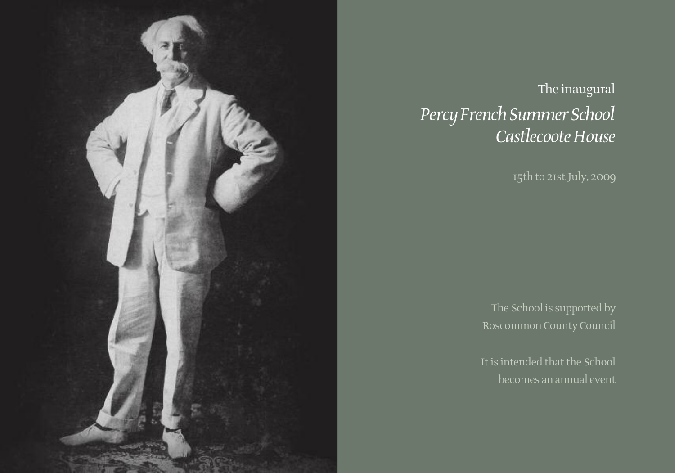

# The inaugural Percy French Summer School *CastlecooteHouse*

15th to 21stJuly, 2009

The School is supported by Roscommon County Council

It is intended that the School becomes an annual event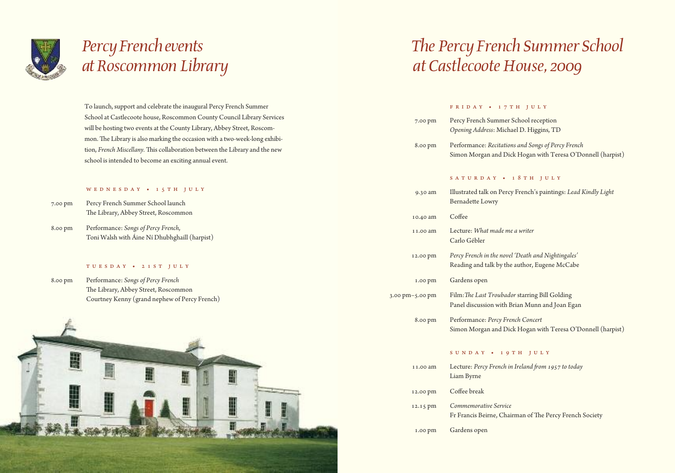

# *PercyFrench events atRoscommon Library*

To launch, support and celebrate the inaugural Percy French Summer School at Castlecoote house, Roscommon County Council Library Services will be hosting two events at the County Library, Abbey Street, Roscommon. The Library is also marking the occasion with a two-week-long exhibition, French Miscellany. This collaboration between the Library and the new school is intended to become an exciting annual event.

#### WED NESDAY • 15TH JULY

- 7.00 pm Percy French Summer School launch The Library, Abbey Street, Roscommon
- 8.00 pm Performance: *Songs of Percy French*, Toni Walsh with Áine Ní Dhubhghaill (harpist)

#### t u e s d a y • 2 1 s t j u l y

8.00 pm Performance: *Songs of Percy French* The Library, Abbey Street, Roscommon Courtney Kenny (grand nephew of Percy French)



# *The PercyFrench Summer School at* Castlecoote House, 2009

#### FRIDAY • 17TH JULY

| 7.00 pm         | Percy French Summer School reception<br>Opening Address: Michael D. Higgins, TD                                   |
|-----------------|-------------------------------------------------------------------------------------------------------------------|
| 8.00 pm         | Performance: Recitations and Songs of Percy French<br>Simon Morgan and Dick Hogan with Teresa O'Donnell (harpist) |
|                 | SATURDAY • 18TH JULY                                                                                              |
| 9.30 am         | Illustrated talk on Percy French's paintings: Lead Kindly Light<br><b>Bernadette Lowry</b>                        |
| 10.40 am        | Coffee                                                                                                            |
| 11.00 am        | Lecture: What made me a writer<br>Carlo Gébler                                                                    |
| 12.00 pm        | Percy French in the novel 'Death and Nightingales'<br>Reading and talk by the author, Eugene McCabe               |
| 1.00 pm         | Gardens open                                                                                                      |
| 3.00 pm-5.00 pm | Film: The Last Troubador starring Bill Golding<br>Panel discussion with Brian Munn and Joan Egan                  |
| 8.00 pm         | Performance: Percy French Concert<br>Simon Morgan and Dick Hogan with Teresa O'Donnell (harpist)                  |
|                 |                                                                                                                   |

### s u n d a y • 1 9 t h j u l y

| 11.00 am | Lecture: Percy French in Ireland from 1957 to today<br>Liam Byrne                |
|----------|----------------------------------------------------------------------------------|
| 12.00 pm | Coffee break                                                                     |
| 12.15 pm | Commemorative Service<br>Fr Francis Beirne, Chairman of The Percy French Society |
|          |                                                                                  |

1.00 pm Gardens open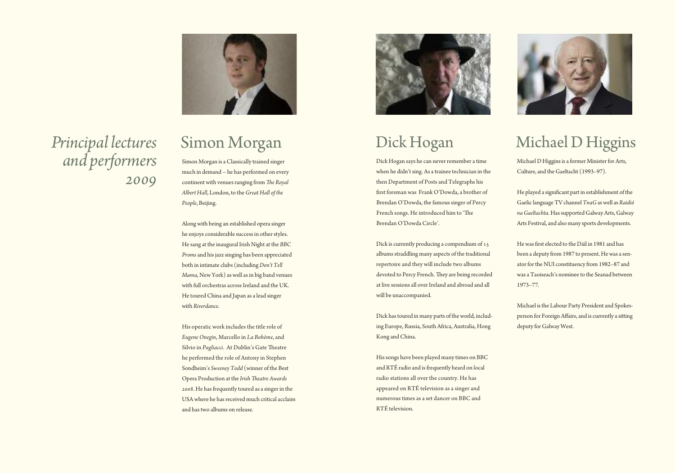

*Principal lectures and performers 2009*

### Simon Morgan

Simon Morgan is aClassically trained singer much in demand – he has performed on every continent with venues ranging from The Royal *Albert Hall*, London, to the*Great Hall of the People*, Beijing.

Along with being an established opera singer he enjoys considerable success in other styles. He sang at the inaugural Irish Night at the *BBC* Proms and his jazz singing has been appreciated both in intimate clubs (including*Don't Tell Mama*, New York) as well asin big band venues with full orchestras across Ireland and the UK. He toured China and Japan as a lead singer with *Riverdance*.

His operatic work includes the title role of *Eugene Onegin*, Marcello in *La Bohème*, and Silvio in *Pagliacci*. At Dublin's Gate Theatre he performed the role of Antony in Stephen Sondheim's *Sweeney Todd* (winner of the Best Opera Production at the *Irish Theatre Awards 2008*. He hasfrequently toured as a singerin the USA where he has received much critical acclaim and hastwo albums on release.



# Dick Hogan

Dick Hogan says he can never remember a time when he didn't sing. As a trainee technician in the then Department of Posts and Telegraphs his first foreman was Frank O'Dowda, a brother of Brendan O'Dowda, the famous singer of Percy French songs. He introduced him to 'The Brendan O'Dowda Circle'.

Dick is currently producing a compendium of 15 albums straddling many aspects of the traditional repertoire and they will include two albums devoted to Percy French. They are being recorded at live sessions all over Ireland and abroad and all will be unaccompanied.

Dick hastoured in many parts of theworld, including Europe, Russia, South Africa, Australia, Hong Kong andChina.

Hissongs have been played many times on BBC and RTÉ radio and is frequently heard on local radio stations all over the country. He has appeared on RTÉ television as a singer and numerous times as a set dancer on BBC and RTÉ television.



# Michael D Higgins

Michael D Higgins is a former Minister for Arts, Culture, and the Gaeltacht (1993–97).

He played a significant part in establishment of the Gaelic language TV channel *TnaG* as well as *Raidió naGaeltachta*. Hassupported GalwayArts, Galway Arts Festival, and also many sports developments.

He was first elected to the Dáil in 1981 and has been a deputy from 1987 to present. Hewas a senator for the NUI constituency from 1982-87 and was aTaoiseach's nominee to the Seanad between 1973–77.

Michael isthe Labour Party President and Spokesperson for Foreign Affairs, and is currently a sitting deputy for Galway West.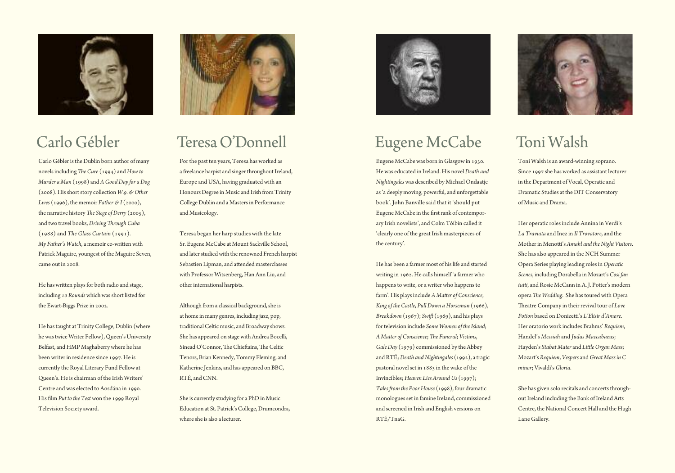

### Carlo Gébler

Carlo Gébler is the Dublin born author of many novels including *The Cure* (1994) and *How to Murder a Man* (1998) and *AGoodDayfor aDog* (2008). Hisshortstory collection *W.9. & Other Lives* (1996), the memoir *Father*  $\mathcal{C}I$  (2000), the narrative history *The Siege of Derry* (2005), and two travel books,*Driving 8rough Cuba* (1988) and *The Glass Curtain* (1991). *My Father's Watch*, a memoir co-written with Patrick Maguire, youngest of the Maguire Seven, came out in 2008.

He has written plays for both radio and stage, including 10 Rounds which was short listed for the Ewart-Biggs Prize in 2002.

He has taught at Trinity College, Dublin (where he wastwice Writer Fellow), Queen's University Belfast, and HMP Maghaberry where he has been writer in residence since 1997. He is currently the Royal Literary Fund Fellow at Queen's. He is chairman of the Irish Writers' Centre and was elected to Aosdána in 1990. His film *Put to the Test* won the 1999 Royal Television Society award.



### TeresaO'Donnell

For the past ten years, Teresa has worked as a freelance harpist and singer throughout Ireland, Europe and USA, having graduated with an Honours Degree in Music and Irish from Trinity College Dublin and a Mastersin Performance and Musicology.

Teresa began her harp studies with the late Sr. Eugene McCabe at Mount Sackville School, and later studied with the renowned French harpist Sebastien Lipman, and attended masterclasses with Professor Witsenberg, Han Ann Liu, and other international harpists.

Although from a classical background, she is at home in many genres, including jazz, pop, traditionalCeltic music, and Broadway shows. She has appeared on stage with Andrea Bocelli, Sinead O'Connor, The Chieftains, The Celtic Tenors, Brian Kennedy, Tommy Fleming, and Katherine Jenkins, and has appeared on BBC, RTÉ, and CNN.

She is currently studying for a PhD in Music Education at St. Patrick's College, Drumcondra, where she is also a lecturer.



## Eugene McCabe

Eugene McCabe was born in Glasgow in 1930. He was educated in Ireland. His novel*Death and Nightingales* was described by Michael Ondaatje as 'a deeply moving, powerful, and unforgettable book'. John Banville said that it 'should put Eugene McCabe in the first rank of contemporary Irish novelists', and Colm Tóibín called it 'clearly one of the great Irish masterpieces of the century'.

He has been a farmer most of hislife and started writing in 1962. He calls himself 'a farmer who happens to write, or a writer who happens to farm'. His plays include *A Matter of Conscience*, *King of the Castle*, *PullDown a Horseman* (1966), *Breakdown* (1967); *Swift* (1969), and his plays for television include *Some Women of the Island*;  $A$  *Matter of Conscience*; *The Funeral*; *Victims*, *GaleDay* (1979) commissioned by the Abbey and RTÉ;*Death and Nightingales* (1992), a tragic pastoral novel set in 1883 in the wake of the Invincibles: *Heaven Lies Around Us* (1997); *Tales from the Poor House* (1998), four dramatic monologues set in famine Ireland, commissioned and screened in Irish and English versions on RTÉ/TnaG.



# Toni Walsh

Toni Walsh is an award-winning soprano. Since 1997 she has worked as assistant lecturer in the Department of Vocal, Operatic and Dramatic Studies at the DIT Conservatory of Music and Drama.

Her operatic roles include Annina in Verdi's *La Traviata* and Inezin *Il Trovatore*, and the  $M$ other in Menotti's *Amahl and the Night Visitors*. She has also appeared in the NCH Summer Opera Series playing leading rolesin*Operatic Scenes*, including Dorabella in Mozart's *Cosi fan* tutti, and Rosie McCann in A. J. Potter's modern opera *The Wedding*. She has toured with Opera Reatre Company in their revival tour of *Love*  $Potion$  based on Donizetti's *L'Elisir d'Amore*. Her oratorio work includes Brahms' *Requiem*, Handel's *Messiah* and *Judas Maccabaeus*; Hayden's *Stabat Mater* and *Li<leOrgan Mass*; Mozart's *Requiem*, *Vespers* and*Great Mass in C minor*; Vivaldi's*Gloria*.

She has given solo recitals and concerts throughout Ireland including the Bank of Ireland Arts Centre, the National Concert Hall and the Hugh Lane Gallery.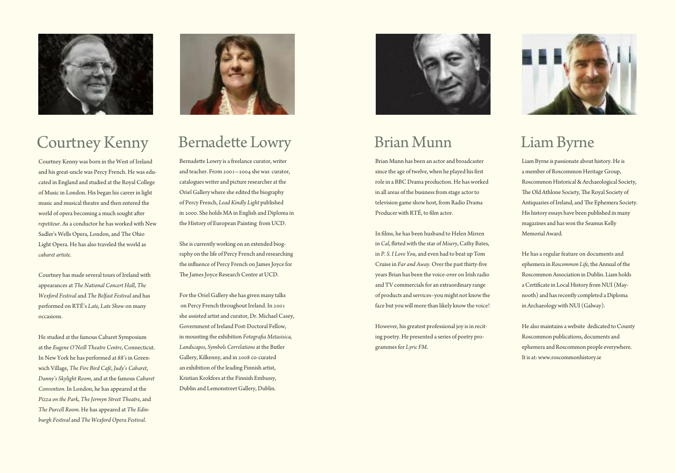

# **Courtney Kenny**

Courtney Kenny was born in the West of Ireland and his great-uncle was Percy French. He was educated in England and studied at the Royal College of Music in London. His began his career in light music and musical theatre and then entered the world of opera becoming a much sought after *repetiteur*. As a conductor he has worked with New Sadler's Wells Opera, London, and The Ohio Light Opera. He has also traveled the world as *cabaret artiste*.

Courtney has made several tours of Ireland with appearances at *The National Concert Hall*, *The Wexford Festival* and *The Belfast Festival* and has performed on RTÉ's *Late, Late Show* on many occasions.

He studied at the famous Cabaret Symposium at the *Eugene O'Neill Theatre Centre*, Connecticut. In New York he has performed at *88's* in Greenwich Village, *The Fire Bird Café*, *Judy's Cabaret*, *Danny's Skylight Room*, and at the famous *Cabaret Convention*. In London, he has appeared at the *Pizza on the Park*, *The Jermyn Street Theatre*, and *The Purcell Room*. He has appeared at *The Edinburgh Festival* and *The Wexford Opera Festival*.



### Bernadette Lowry

Bernadette Lowry is a freelance curator, writer and teacher. From 2001—2004 she was curator, catalogues writer and picture researcher at the Oriel Gallery where she edited the biography of Percy French, *Lead Kindly Light* published in 2000. She holds MA in English and Diploma in the History of European Painting from UCD.

She is currently working on an extended biography on the life of Percy French and researching the influence of Percy French on James Joyce for The James Joyce Research Centre at UCD.

For the Oriel Gallery she has given many talks on Percy French throughout Ireland. In 2001 she assisted artist and curator, Dr. Michael Casey, Government of Ireland Post-Doctoral Fellow, in mounting the exhibition *Fotografia Metasisica*, *Landscapes, Symbols Correlations* at the Butler Gallery, Kilkenny, and in 2008 co-curated an exhibition of the leading Finnish artist, Kristian Krokfors at the Finnish Embassy, Dublin and Lemonstreet Gallery, Dublin.



### Brian Munn

Brian Munn has been an actor and broadcaster since the age of twelve, when he played his first role in a BBC Drama production. He has worked in all areas of the business from stage actor to television game show host, from Radio Drama Producer with RTÉ, to film actor.

In films, he has been husband to Helen Mirren in *Cal*, flirted with the star of *Misery*, Cathy Bates, in *P. S. I Love You*, and even had to beat up Tom Cruise in *Far and Away*. Over the past thirty-five years Brian has been the voice-over on Irish radio and TV commercials for an extraordinary range of products and services–you might not know the face but you will more than likely know the voice!

However, his greatest professional joy is in reciting poetry. He presented a series of poetry programmesfor *Lyric FM*.



# LiamByrne

Liam Byrne is passionate about history. He is a member of Roscommon Heritage Group, Roscommon Historical & Archaeological Society, The Old Athlone Society, The Royal Society of Antiquaries of Ireland, and The Ephemera Society. His history essays have been published in many magazines and has won the Seamus Kelly MemorialAward.

He has a regular feature on documents and ephemera in *Roscommon Life*, the Annual of the Roscommon Association in Dublin. Liam holds a Certificate in Local History from NUI (Maynooth) and has recently completed a Diploma inArchaeologywith NUI (Galway).

He also maintains a website dedicated to County Roscommon publications, documents and ephemera and Roscommon people everywhere. It is at:www.roscommonhistory.ie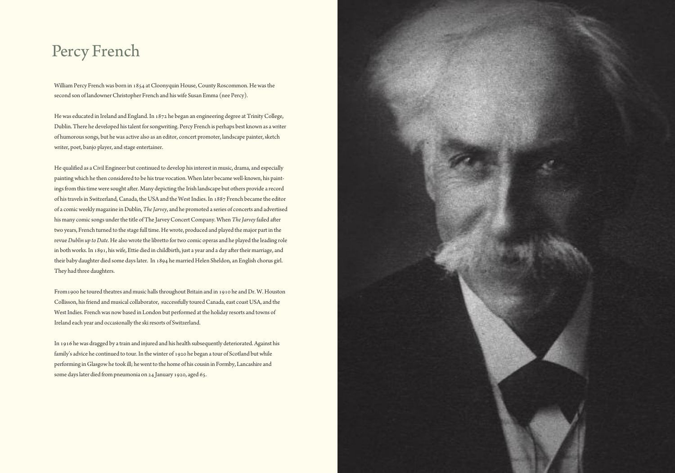### Percy French

William Percy French was born in 1854 at Cloonyquin House, County Roscommon. He was the second son of landowner Christopher French and his wife Susan Emma (nee Percy).

He was educated in Ireland and England. In 1872 he began an engineering degree at Trinity College, Dublin.There he developed histalent forsongwriting. Percy French is perhaps best known as awriter of humorous songs, but he was active also as an editor, concert promoter, landscape painter, sketch writer, poet, banjo player, and stage entertainer.

He qualified as a Civil Engineer but continued to develop his interest in music, drama, and especially paintingwhich he then considered to be histrue vocation. When later becamewell-known, his paintings from this time were sought after. Many depicting the Irish landscape but others provide a record of his travels in Switzerland, Canada, the USA and the West Indies. In 1887 French became the editor of a comicweekly magazine in Dublin,*TheJarvey*, and he promoted a series of concerts and advertised his many comic songs under the title of The Jarvey Concert Company. When The Jarvey failed after two years, French turned to the stage full time. Hewrote, produced and played the major part in the revue*Dublin up toDate*. He alsowrote the libretto fortwo comic operas and he played the leading role in both works. In 1891, his wife, Ettie died in childbirth, just a year and a day after their marriage, and their baby daughter died some dayslater. In 1894 he married Helen Sheldon, an English chorus girl. They had three daughters.

From 1900 he toured theatres and music halls throughout Britain and in 1910 he and Dr. W. Houston Collisson, his friend and musical collaborator, successfully toured Canada, east coast USA, and the West Indies. French was now based in London but performed at the holiday resorts and towns of Ireland each year and occasionally the skiresorts of Switzerland.

In 1916 hewas dragged by a train and injured and his health subsequently deteriorated.Against his family's advice he continued to tour. In the winter of 1920 he began a tour of Scotland but while performing in Glasgowhe took ill; hewentto the home of his cousin in Formby, Lancashire and some dayslater died frompneumonia on 24 January 1920, aged 65.

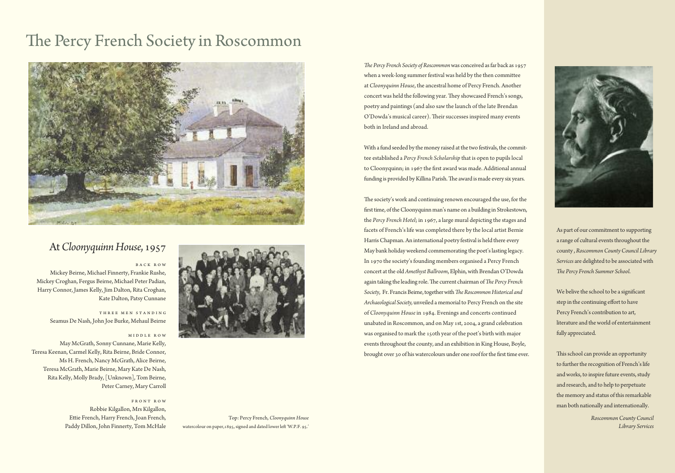# The Percy French Society in Roscommon



### At*CloonyquinnHouse*,1957

#### B a c k R o w

Mickey Beirne, Michael Finnerty, Frankie Rushe, Mickey Croghan, Fergus Beirne, Michael Peter Padian, Harry Connor, James Kelly, Jim Dalton, Rita Croghan, Kate Dalton, Patsy Cunnane

> THREE MEN STANDING Seamus De Nash, John Joe Burke, Mehaul Beirne

#### MIDDLE ROW

May McGrath, Sonny Cunnane, Marie Kelly, Teresa Keenan, Carmel Kelly, Rita Beirne, Bride Connor, Ms H. French, Nancy McGrath, Alice Beirne, Teresa McGrath, Marie Beirne, Mary Kate De Nash, Rita Kelly, Molly Brady,[Unknown], Tom Beirne, Peter Carney, Mary Carroll

> F r o n t R o w Robbie Kilgallon, Mrs Kilgallon, Ettie French, Harry French, Joan French, Paddy Dillon, John Finnerty, Tom McHale



Top: Percy French, *Cloonyquinn House* watercolour on paper, 1895, signed and dated lower left 'W.P.F. 95.'

*The Percy French Society of Roscommon was conceived as far back as 1957* when a week-long summer festival was held by the then committee at *Cloonyquinn House*, the ancestral home of Percy French. Another concert was held the following year. They showcased French's songs, poetry and paintings (and also saw the launch of the late Brendan O'Dowda's musical career). Their successes inspired many events both in Ireland and abroad.

With a fund seeded by the money raised at the two festivals, the committee established a *Percy French Scholarship* that is open to pupilslocal to Cloonyquinn; in 1967 the first award was made. Additional annual funding is provided by Killina Parish. The award is made every six years.

The society's work and continuing renown encouraged the use, for the first time, of the Cloonyquinn man's name on a building in Strokestown, the *Percy French Hotel*; in 1967, a large mural depicting the stages and facets of French's life was completed there by the local artist Bernie HarrisChapman.An international poetry festival is held there every May bank holidayweekend commemorating the poet'slasting legacy. In 1970 the society's founding members organised a Percy French concert at the old *Amethyst Ballroom*, Elphin, with Brendan O'Dowda again taking the leading role. The current chairman of The Percy French Society, Fr. Francis Beirne, together with *The Roscommon Historical and Archaeological Society,* unveiled a memorial to Percy French on the site of *Cloonyquinn House* in 1984. Evenings and concerts continued unabated in Roscommon, and on May 1st, 2004, a grand celebration was organised to mark the 150th year of the poet's birth with major events throughout the county, and an exhibition in King House, Boyle, brought over 30 of his watercolours under one roof for the first time ever.



As part of our commitment to supporting a range of cultural events throughout the county , *RoscommonCountyCouncil Library* Services are delighted to be associated with *8e Percy French Summer School*.

We belive the school to be a significant step in the continuing effort to have Percy French's contribution to art, literature and theworld of entertainment fully appreciated.

This school can provide an opportunity to further the recognition of French's life and works, to inspire future events, study and research, and to help to perpetuate the memory and status of this remarkable man both nationally and internationally.

> *RoscommonCountyCouncil Library Services*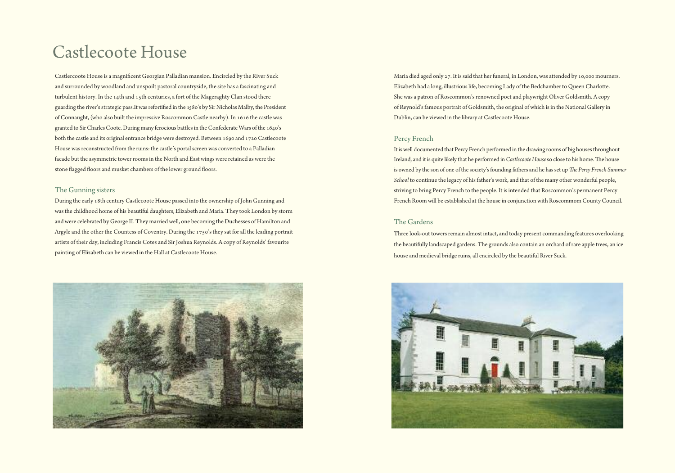### Castlecoote House

Castlercoote House is a magnificent Georgian Palladian mansion. Encircled by the River Suck and surrounded by woodland and unspoilt pastoral countryside, the site has a fascinating and turbulent history. In the 14th and 15th centuries, a fort of the Mageraghty Clan stood there guarding the river's strategic pass.It was refortified in the 1580's by Sir Nicholas Malby, the President of Connaught, (who also built the impressive Roscommon Castle nearby). In 1616 the castle was granted to Sir Charles Coote. During many ferocious battles in the Confederate Wars of the 1640's both the castle and its original entrance bridge were destroyed. Between 1690 and 1720 Castlecoote House was reconstructed from the ruins: the castle's portal screen was converted to a Palladian facade but the asymmetric tower roomsin the North and East wings were retained as were the stone flagged floors and musket chambers of the lower ground floors.

#### The Gunning sisters

During the early 18th century Castlecoote House passed into the ownership of John Gunning and wasthe childhood home of his beautiful daughters, Elizabeth and Maria. They took London by storm and were celebrated by George II. They married well, one becoming the Duchesses of Hamilton and Argyle and the other the Countess of Coventry. During the 1750's they sat for all the leading portrait artists of their day, including Francis Cotes and Sir Joshua Reynolds. A copy of Reynolds' favourite painting of Elizabeth can be viewed in the Hall at Castlecoote House.



Maria died aged only 27. It issaid that her funeral, in London, was attended by 10,000 mourners. Elizabeth had a long, illustriouslife, becoming Lady of the Bedchamber to Queen Charlotte. She was a patron of Roscommon's renowned poet and playwright Oliver Goldsmith. A copy of Reynold's famous portrait of Goldsmith, the original of which is in the National Gallery in Dublin, can be viewed in the library at Castlecoote House.

#### Percy French

It is well documented that Percy French performed in the drawing rooms of big houses throughout Ireland, and it is quite likely that he performed in *Castlecoote House* so close to his home. The house is owned by the son of one of the society's founding fathers and he has set up *The Percy French Summer School* to continue the legacy of his father's work, and that of the many other wonderful people, striving to bring Percy French to the people. It isintended that Roscommon's permanent Percy French Room will be established at the house in conjunction with Roscommom County Council.

### The Gardens

Three look-out towers remain almost intact, and today present commanding features overlooking the beautifully landscaped gardens. The grounds also contain an orchard of rare apple trees, an ice house and medieval bridge ruins, all encircled by the beautiful River Suck.